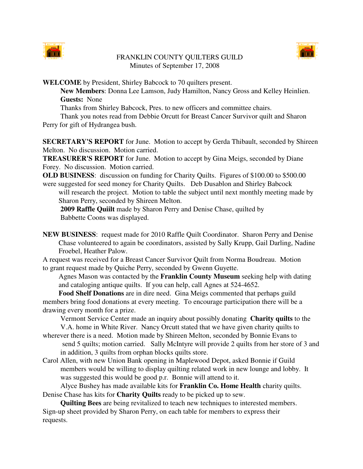

## FRANKLIN COUNTY QUILTERS GUILD Minutes of September 17, 2008



**WELCOME** by President, Shirley Babcock to 70 quilters present.

**New Members**: Donna Lee Lamson, Judy Hamilton, Nancy Gross and Kelley Heinlien. **Guests:** None

Thanks from Shirley Babcock, Pres. to new officers and committee chairs.

Thank you notes read from Debbie Orcutt for Breast Cancer Survivor quilt and Sharon

Perry for gift of Hydrangea bush.

**SECRETARY'S REPORT** for June. Motion to accept by Gerda Thibault, seconded by Shireen Melton. No discussion. Motion carried.

**TREASURER'S REPORT** for June. Motion to accept by Gina Meigs, seconded by Diane Forey. No discussion. Motion carried.

**OLD BUSINESS**: discussion on funding for Charity Quilts. Figures of \$100.00 to \$500.00 were suggested for seed money for Charity Quilts. Deb Dusablon and Shirley Babcock

will research the project. Motion to table the subject until next monthly meeting made by Sharon Perry, seconded by Shireen Melton.

**2009 Raffle Quiilt** made by Sharon Perry and Denise Chase, quilted by Babbette Coons was displayed.

**NEW BUSINESS**: request made for 2010 Raffle Quilt Coordinator. Sharon Perry and Denise Chase volunteered to again be coordinators, assisted by Sally Krupp, Gail Darling, Nadine Froebel, Heather Palow.

A request was received for a Breast Cancer Survivor Quilt from Norma Boudreau. Motion to grant request made by Quiche Perry, seconded by Gwenn Guyette.

Agnes Mason was contacted by the **Franklin County Museum** seeking help with dating and cataloging antique quilts. If you can help, call Agnes at 524-4652.

**Food Shelf Donations** are in dire need. Gina Meigs commented that perhaps guild members bring food donations at every meeting. To encourage participation there will be a drawing every month for a prize.

Vermont Service Center made an inquiry about possibly donating **Charity quilts** to the V.A. home in White River. Nancy Orcutt stated that we have given charity quilts to

- wherever there is a need. Motion made by Shireen Melton, seconded by Bonnie Evans to send 5 quilts; motion carried. Sally McIntyre will provide 2 quilts from her store of 3 and in addition, 3 quilts from orphan blocks quilts store.
- Carol Allen, with new Union Bank opening in Maplewood Depot, asked Bonnie if Guild members would be willing to display quilting related work in new lounge and lobby. It was suggested this would be good p.r. Bonnie will attend to it.

Alyce Bushey has made available kits for **Franklin Co. Home Health** charity quilts. Denise Chase has kits for **Charity Quilts** ready to be picked up to sew.

**Quilting Bees** are being revitalized to teach new techniques to interested members. Sign-up sheet provided by Sharon Perry, on each table for members to express their requests.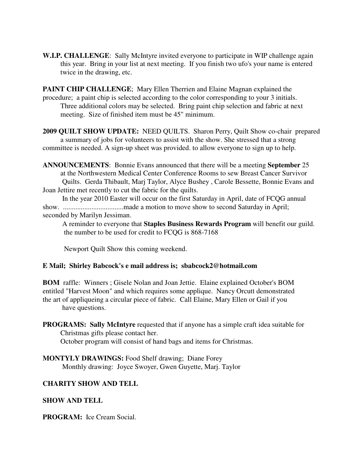**W.I.P. CHALLENGE**: Sally McIntyre invited everyone to participate in WIP challenge again this year. Bring in your list at next meeting. If you finish two ufo's your name is entered twice in the drawing, etc.

**PAINT CHIP CHALLENGE**; Mary Ellen Therrien and Elaine Magnan explained the procedure; a paint chip is selected according to the color corresponding to your 3 initials. Three additional colors may be selected. Bring paint chip selection and fabric at next meeting. Size of finished item must be 45" minimum.

**2009 QUILT SHOW UPDATE:** NEED QUILTS. Sharon Perry, Quilt Show co-chair prepared a summary of jobs for volunteers to assist with the show. She stressed that a strong committee is needed. A sign-up sheet was provided. to allow everyone to sign up to help.

**ANNOUNCEMENTS**: Bonnie Evans announced that there will be a meeting **September** 25 at the Northwestern Medical Center Conference Rooms to sew Breast Cancer Survivor Quilts. Gerda Thibault, Marj Taylor, Alyce Bushey , Carole Bessette, Bonnie Evans and Joan Jettire met recently to cut the fabric for the quilts.

In the year 2010 Easter will occur on the first Saturday in April, date of FCQG annual show. ..................................made a motion to move show to second Saturday in April; seconded by Marilyn Jessiman.

A reminder to everyone that **Staples Business Rewards Program** will benefit our guild. the number to be used for credit to FCQG is 868-7168

Newport Quilt Show this coming weekend.

## **E Mail; Shirley Babcock's e mail address is; sbabcock2@hotmail.com**

**BOM** raffle: Winners ; Gisele Nolan and Joan Jettie. Elaine explained October's BOM entitled "Harvest Moon" and which requires some applique. Nancy Orcutt demonstrated the art of appliqueing a circular piece of fabric. Call Elaine, Mary Ellen or Gail if you have questions.

- **PROGRAMS: Sally McIntyre** requested that if anyone has a simple craft idea suitable for Christmas gifts please contact her. October program will consist of hand bags and items for Christmas.
- **MONTYLY DRAWINGS:** Food Shelf drawing; Diane Forey Monthly drawing: Joyce Swoyer, Gwen Guyette, Marj. Taylor

## **CHARITY SHOW AND TELL**

## **SHOW AND TELL**

**PROGRAM:** Ice Cream Social.